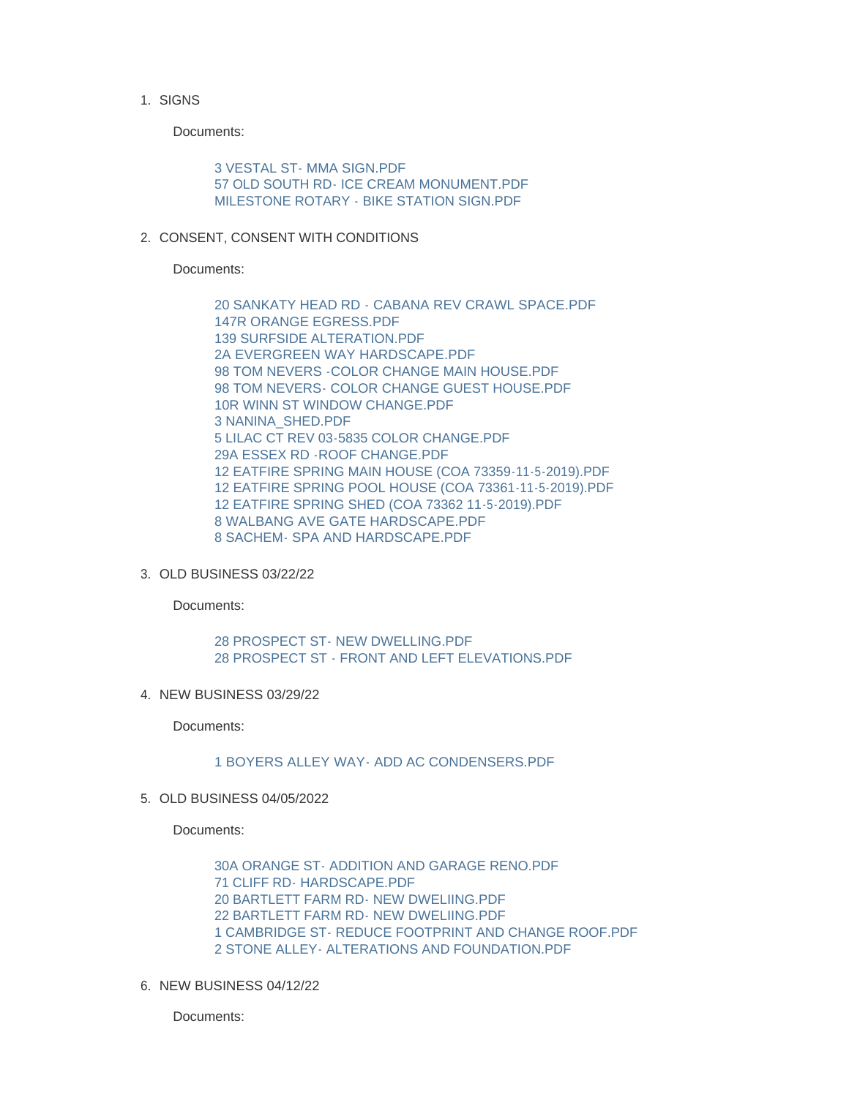1. SIGNS

Documents:

[3 VESTAL ST- MMA SIGN.PDF](https://www.nantucket-ma.gov/AgendaCenter/ViewFile/Item/4534?fileID=38337) [57 OLD SOUTH RD- ICE CREAM MONUMENT.PDF](https://www.nantucket-ma.gov/AgendaCenter/ViewFile/Item/4534?fileID=38338) [MILESTONE ROTARY - BIKE STATION SIGN.PDF](https://www.nantucket-ma.gov/AgendaCenter/ViewFile/Item/4534?fileID=38339)

2. CONSENT, CONSENT WITH CONDITIONS

Documents:

[20 SANKATY HEAD RD - CABANA REV CRAWL SPACE.PDF](https://www.nantucket-ma.gov/AgendaCenter/ViewFile/Item/4535?fileID=38340) [147R ORANGE EGRESS.PDF](https://www.nantucket-ma.gov/AgendaCenter/ViewFile/Item/4535?fileID=38341) [139 SURFSIDE ALTERATION.PDF](https://www.nantucket-ma.gov/AgendaCenter/ViewFile/Item/4535?fileID=38342) [2A EVERGREEN WAY HARDSCAPE.PDF](https://www.nantucket-ma.gov/AgendaCenter/ViewFile/Item/4535?fileID=38343) [98 TOM NEVERS -COLOR CHANGE MAIN HOUSE.PDF](https://www.nantucket-ma.gov/AgendaCenter/ViewFile/Item/4535?fileID=38344) [98 TOM NEVERS- COLOR CHANGE GUEST HOUSE.PDF](https://www.nantucket-ma.gov/AgendaCenter/ViewFile/Item/4535?fileID=38345) [10R WINN ST WINDOW CHANGE.PDF](https://www.nantucket-ma.gov/AgendaCenter/ViewFile/Item/4535?fileID=38346) [3 NANINA\\_SHED.PDF](https://www.nantucket-ma.gov/AgendaCenter/ViewFile/Item/4535?fileID=38347) [5 LILAC CT REV 03-5835 COLOR CHANGE.PDF](https://www.nantucket-ma.gov/AgendaCenter/ViewFile/Item/4535?fileID=38348) [29A ESSEX RD -ROOF CHANGE.PDF](https://www.nantucket-ma.gov/AgendaCenter/ViewFile/Item/4535?fileID=38349) [12 EATFIRE SPRING MAIN HOUSE \(COA 73359-11-5-2019\).PDF](https://www.nantucket-ma.gov/AgendaCenter/ViewFile/Item/4535?fileID=38350) [12 EATFIRE SPRING POOL HOUSE \(COA 73361-11-5-2019\).PDF](https://www.nantucket-ma.gov/AgendaCenter/ViewFile/Item/4535?fileID=38351) [12 EATFIRE SPRING SHED \(COA 73362 11-5-2019\).PDF](https://www.nantucket-ma.gov/AgendaCenter/ViewFile/Item/4535?fileID=38352) [8 WALBANG AVE GATE HARDSCAPE.PDF](https://www.nantucket-ma.gov/AgendaCenter/ViewFile/Item/4535?fileID=38353) [8 SACHEM- SPA AND HARDSCAPE.PDF](https://www.nantucket-ma.gov/AgendaCenter/ViewFile/Item/4535?fileID=38354)

OLD BUSINESS 03/22/22 3.

Documents:

[28 PROSPECT ST- NEW DWELLING.PDF](https://www.nantucket-ma.gov/AgendaCenter/ViewFile/Item/4536?fileID=38355) [28 PROSPECT ST - FRONT AND LEFT ELEVATIONS.PDF](https://www.nantucket-ma.gov/AgendaCenter/ViewFile/Item/4536?fileID=38356)

4. NEW BUSINESS 03/29/22

Documents:

## [1 BOYERS ALLEY WAY- ADD AC CONDENSERS.PDF](https://www.nantucket-ma.gov/AgendaCenter/ViewFile/Item/4537?fileID=38357)

OLD BUSINESS 04/05/2022 5.

Documents:

[30A ORANGE ST- ADDITION AND GARAGE RENO.PDF](https://www.nantucket-ma.gov/AgendaCenter/ViewFile/Item/4538?fileID=38358) [71 CLIFF RD- HARDSCAPE.PDF](https://www.nantucket-ma.gov/AgendaCenter/ViewFile/Item/4538?fileID=38359) [20 BARTLETT FARM RD- NEW DWELIING.PDF](https://www.nantucket-ma.gov/AgendaCenter/ViewFile/Item/4538?fileID=38360) [22 BARTLETT FARM RD- NEW DWELIING.PDF](https://www.nantucket-ma.gov/AgendaCenter/ViewFile/Item/4538?fileID=38361) [1 CAMBRIDGE ST- REDUCE FOOTPRINT AND CHANGE ROOF.PDF](https://www.nantucket-ma.gov/AgendaCenter/ViewFile/Item/4538?fileID=38362) [2 STONE ALLEY- ALTERATIONS AND FOUNDATION.PDF](https://www.nantucket-ma.gov/AgendaCenter/ViewFile/Item/4538?fileID=38363)

6. NEW BUSINESS 04/12/22

Documents: